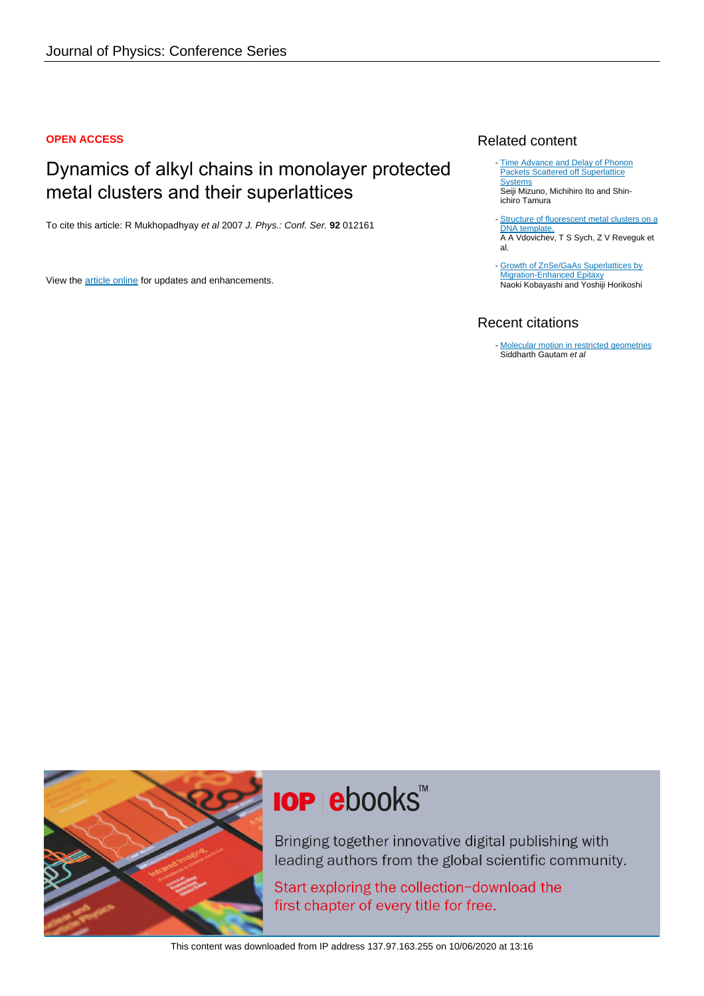#### **OPEN ACCESS**

# Dynamics of alkyl chains in monolayer protected metal clusters and their superlattices

To cite this article: R Mukhopadhyay et al 2007 J. Phys.: Conf. Ser. **92** 012161

View the [article online](https://doi.org/10.1088/1742-6596/92/1/012161) for updates and enhancements.

### Related content

- [Time Advance and Delay of Phonon](http://iopscience.iop.org/article/10.1143/JJAP.33.2880) [Packets Scattered off Superlattice](http://iopscience.iop.org/article/10.1143/JJAP.33.2880) **System** Seiji Mizuno, Michihiro Ito and Shinichiro Tamura
- [Structure of fluorescent metal clusters on a](http://iopscience.iop.org/article/10.1088/1742-6596/741/1/012069) [DNA template.](http://iopscience.iop.org/article/10.1088/1742-6596/741/1/012069) A A Vdovichev, T S Sych, Z V Reveguk et al. -
- [Growth of ZnSe/GaAs Superlattices by](http://iopscience.iop.org/article/10.1143/JJAP.29.L236) [Migration-Enhanced Epitaxy](http://iopscience.iop.org/article/10.1143/JJAP.29.L236) Naoki Kobayashi and Yoshiji Horikoshi

## Recent citations

- [Molecular motion in restricted geometries](http://dx.doi.org/10.1007/s12043-008-0271-1) Siddharth Gautam et al



# **IOP ebooks**™

Bringing together innovative digital publishing with leading authors from the global scientific community.

Start exploring the collection-download the first chapter of every title for free.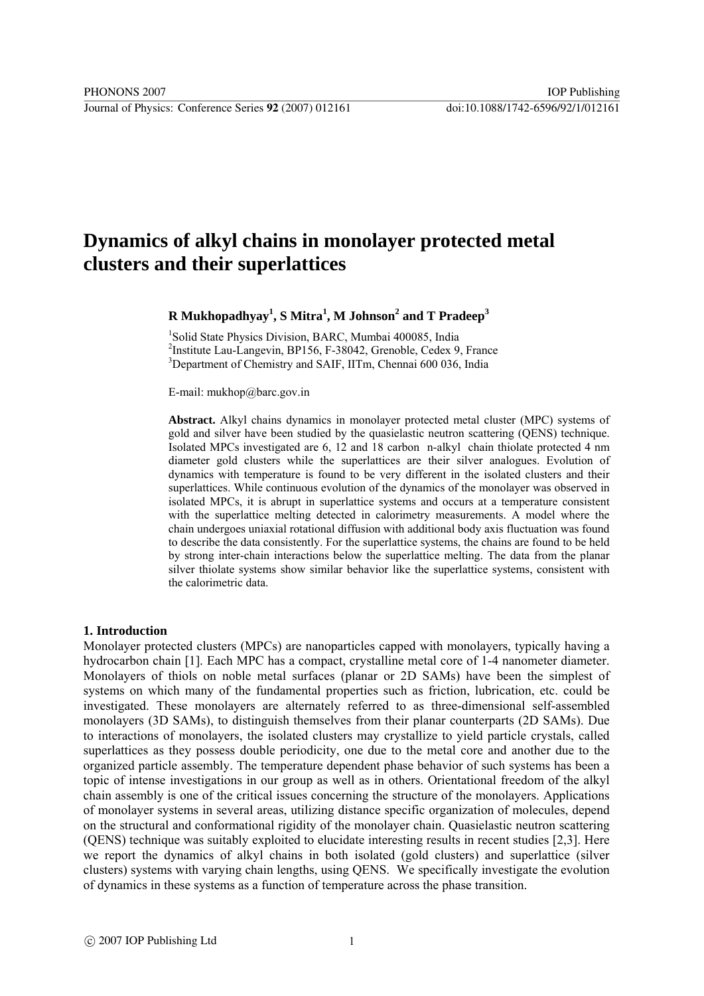# **Dynamics of alkyl chains in monolayer protected metal clusters and their superlattices**

#### **R Mukhopadhyay1 , S Mitra<sup>1</sup> , M Johnson<sup>2</sup> and T Pradeep<sup>3</sup>**

<sup>1</sup>Solid State Physics Division, BARC, Mumbai 400085, India 2 Institute Lau-Langevin, BP156, F-38042, Grenoble, Cedex 9, France <sup>3</sup>Department of Chemistry and SAIF, IITm, Chennai 600 036, India

E-mail: mukhop@barc.gov.in

**Abstract.** Alkyl chains dynamics in monolayer protected metal cluster (MPC) systems of gold and silver have been studied by the quasielastic neutron scattering (QENS) technique. Isolated MPCs investigated are 6, 12 and 18 carbon n-alkyl chain thiolate protected 4 nm diameter gold clusters while the superlattices are their silver analogues. Evolution of dynamics with temperature is found to be very different in the isolated clusters and their superlattices. While continuous evolution of the dynamics of the monolayer was observed in isolated MPCs, it is abrupt in superlattice systems and occurs at a temperature consistent with the superlattice melting detected in calorimetry measurements. A model where the chain undergoes uniaxial rotational diffusion with additional body axis fluctuation was found to describe the data consistently. For the superlattice systems, the chains are found to be held by strong inter-chain interactions below the superlattice melting. The data from the planar silver thiolate systems show similar behavior like the superlattice systems, consistent with the calorimetric data.

#### **1. Introduction**

Monolayer protected clusters (MPCs) are nanoparticles capped with monolayers, typically having a hydrocarbon chain [1]. Each MPC has a compact, crystalline metal core of 1-4 nanometer diameter. Monolayers of thiols on noble metal surfaces (planar or 2D SAMs) have been the simplest of systems on which many of the fundamental properties such as friction, lubrication, etc. could be investigated. These monolayers are alternately referred to as three-dimensional self-assembled monolayers (3D SAMs), to distinguish themselves from their planar counterparts (2D SAMs). Due to interactions of monolayers, the isolated clusters may crystallize to yield particle crystals, called superlattices as they possess double periodicity, one due to the metal core and another due to the organized particle assembly. The temperature dependent phase behavior of such systems has been a topic of intense investigations in our group as well as in others. Orientational freedom of the alkyl chain assembly is one of the critical issues concerning the structure of the monolayers. Applications of monolayer systems in several areas, utilizing distance specific organization of molecules, depend on the structural and conformational rigidity of the monolayer chain. Quasielastic neutron scattering (QENS) technique was suitably exploited to elucidate interesting results in recent studies [2,3]. Here we report the dynamics of alkyl chains in both isolated (gold clusters) and superlattice (silver clusters) systems with varying chain lengths, using QENS. We specifically investigate the evolution of dynamics in these systems as a function of temperature across the phase transition.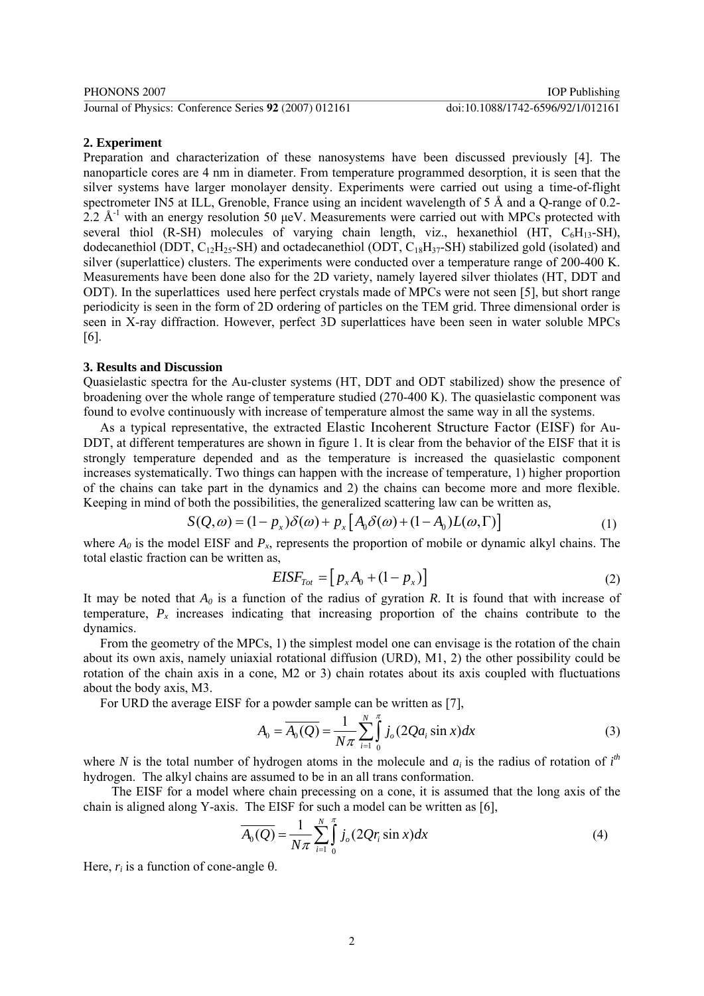#### **2. Experiment**

Preparation and characterization of these nanosystems have been discussed previously [4]. The nanoparticle cores are 4 nm in diameter. From temperature programmed desorption, it is seen that the silver systems have larger monolayer density. Experiments were carried out using a time-of-flight spectrometer IN5 at ILL, Grenoble, France using an incident wavelength of 5 Å and a Q-range of 0.2- 2.2  $\AA$ <sup>-1</sup> with an energy resolution 50 μeV. Measurements were carried out with MPCs protected with several thiol (R-SH) molecules of varying chain length, viz., hexanethiol (HT,  $C_6H_{13}$ -SH), dodecanethiol (DDT, C12H25-SH) and octadecanethiol (ODT, C18H37-SH) stabilized gold (isolated) and silver (superlattice) clusters. The experiments were conducted over a temperature range of 200-400 K. Measurements have been done also for the 2D variety, namely layered silver thiolates (HT, DDT and ODT). In the superlattices used here perfect crystals made of MPCs were not seen [5], but short range periodicity is seen in the form of 2D ordering of particles on the TEM grid. Three dimensional order is seen in X-ray diffraction. However, perfect 3D superlattices have been seen in water soluble MPCs [6].

#### **3. Results and Discussion**

Quasielastic spectra for the Au-cluster systems (HT, DDT and ODT stabilized) show the presence of broadening over the whole range of temperature studied (270-400 K). The quasielastic component was found to evolve continuously with increase of temperature almost the same way in all the systems.

As a typical representative, the extracted Elastic Incoherent Structure Factor (EISF) for Au-DDT, at different temperatures are shown in figure 1. It is clear from the behavior of the EISF that it is strongly temperature depended and as the temperature is increased the quasielastic component increases systematically. Two things can happen with the increase of temperature, 1) higher proportion of the chains can take part in the dynamics and 2) the chains can become more and more flexible. Keeping in mind of both the possibilities, the generalized scattering law can be written as,

$$
S(Q,\omega) = (1 - p_x)\delta(\omega) + p_x \left[ A_0 \delta(\omega) + (1 - A_0)L(\omega, \Gamma) \right]
$$
(1)

where  $A_0$  is the model EISF and  $P_x$ , represents the proportion of mobile or dynamic alkyl chains. The total elastic fraction can be written as,

$$
EISF_{Tot} = [p_x A_0 + (1 - p_x)] \tag{2}
$$

It may be noted that  $A_0$  is a function of the radius of gyration *R*. It is found that with increase of temperature,  $P_x$  increases indicating that increasing proportion of the chains contribute to the dynamics.

From the geometry of the MPCs, 1) the simplest model one can envisage is the rotation of the chain about its own axis, namely uniaxial rotational diffusion (URD), M1, 2) the other possibility could be rotation of the chain axis in a cone, M2 or 3) chain rotates about its axis coupled with fluctuations about the body axis, M3.

For URD the average EISF for a powder sample can be written as [7],

$$
A_0 = \overline{A_0(Q)} = \frac{1}{N\pi} \sum_{i=1}^{N} \int_{0}^{\pi} j_o(2Qa_i \sin x) dx
$$
 (3)

where *N* is the total number of hydrogen atoms in the molecule and  $a_i$  is the radius of rotation of  $i<sup>th</sup>$ hydrogen. The alkyl chains are assumed to be in an all trans conformation.

The EISF for a model where chain precessing on a cone, it is assumed that the long axis of the chain is aligned along Y-axis. The EISF for such a model can be written as [6],

$$
\overline{A_0(Q)} = \frac{1}{N\pi} \sum_{i=1}^{N} \int_0^{\pi} j_o(2Qr_i \sin x) dx
$$
 (4)

Here,  $r_i$  is a function of cone-angle θ.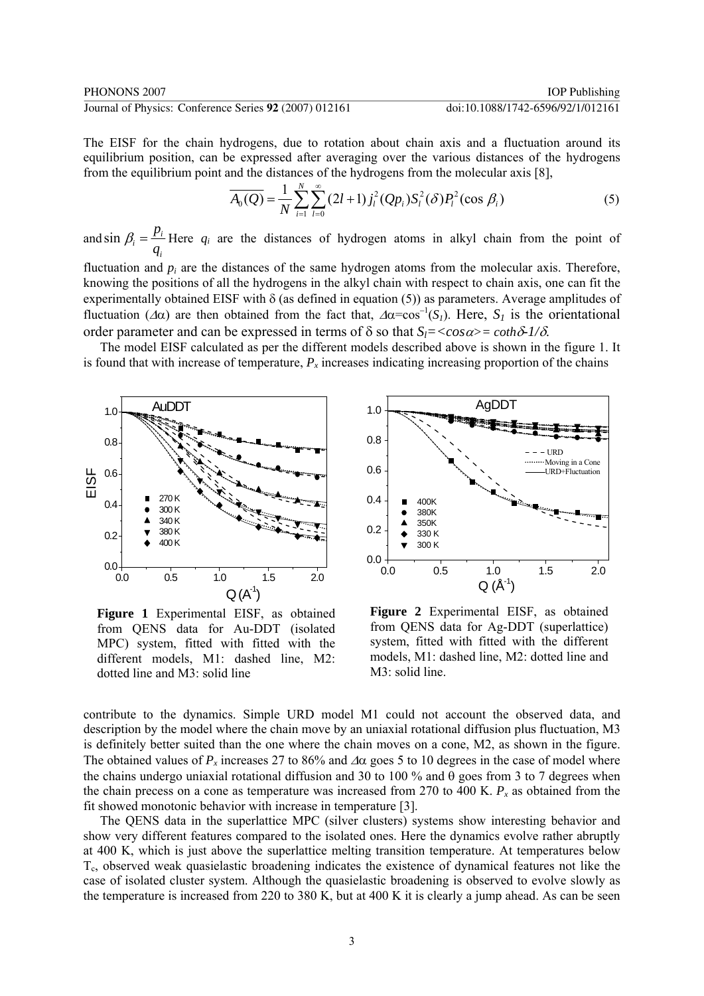The EISF for the chain hydrogens, due to rotation about chain axis and a fluctuation around its equilibrium position, can be expressed after averaging over the various distances of the hydrogens from the equilibrium point and the distances of the hydrogens from the molecular axis [8],

$$
\overline{A_0(Q)} = \frac{1}{N} \sum_{i=1}^{N} \sum_{l=0}^{\infty} (2l+1) j_l^2(Qp_i) S_l^2(\delta) P_l^2(\cos \beta_i)
$$
(5)

and sin  $\beta_i = \frac{P_i}{I}$ *i p q*  $\beta_i = \frac{P_i}{P_i}$  Here  $q_i$  are the distances of hydrogen atoms in alkyl chain from the point of

fluctuation and  $p_i$  are the distances of the same hydrogen atoms from the molecular axis. Therefore, knowing the positions of all the hydrogens in the alkyl chain with respect to chain axis, one can fit the experimentally obtained EISF with δ (as defined in equation (5)) as parameters. Average amplitudes of fluctuation ( $\Delta \alpha$ ) are then obtained from the fact that,  $\Delta \alpha = \cos^{-1}(S_I)$ . Here,  $S_I$  is the orientational order parameter and can be expressed in terms of  $\delta$  so that  $S = \cos \alpha > \cosh \delta$ -1/ $\delta$ .

The model EISF calculated as per the different models described above is shown in the figure 1. It is found that with increase of temperature,  $P<sub>x</sub>$  increases indicating increasing proportion of the chains



**Figure 1** Experimental EISF, as obtained from QENS data for Au-DDT (isolated MPC) system, fitted with fitted with the different models, M1: dashed line, M2: dotted line and M3: solid line



**Figure 2** Experimental EISF, as obtained from QENS data for Ag-DDT (superlattice) system, fitted with fitted with the different models, M1: dashed line, M2: dotted line and M3: solid line.

contribute to the dynamics. Simple URD model M1 could not account the observed data, and description by the model where the chain move by an uniaxial rotational diffusion plus fluctuation, M3 is definitely better suited than the one where the chain moves on a cone, M2, as shown in the figure. The obtained values of  $P_r$  increases 27 to 86% and  $\Delta \alpha$  goes 5 to 10 degrees in the case of model where the chains undergo uniaxial rotational diffusion and 30 to 100 % and  $\theta$  goes from 3 to 7 degrees when the chain precess on a cone as temperature was increased from 270 to 400 K.  $P<sub>x</sub>$  as obtained from the fit showed monotonic behavior with increase in temperature [3].

The QENS data in the superlattice MPC (silver clusters) systems show interesting behavior and show very different features compared to the isolated ones. Here the dynamics evolve rather abruptly at 400 K, which is just above the superlattice melting transition temperature. At temperatures below  $T_c$ , observed weak quasielastic broadening indicates the existence of dynamical features not like the case of isolated cluster system. Although the quasielastic broadening is observed to evolve slowly as the temperature is increased from 220 to 380 K, but at 400 K it is clearly a jump ahead. As can be seen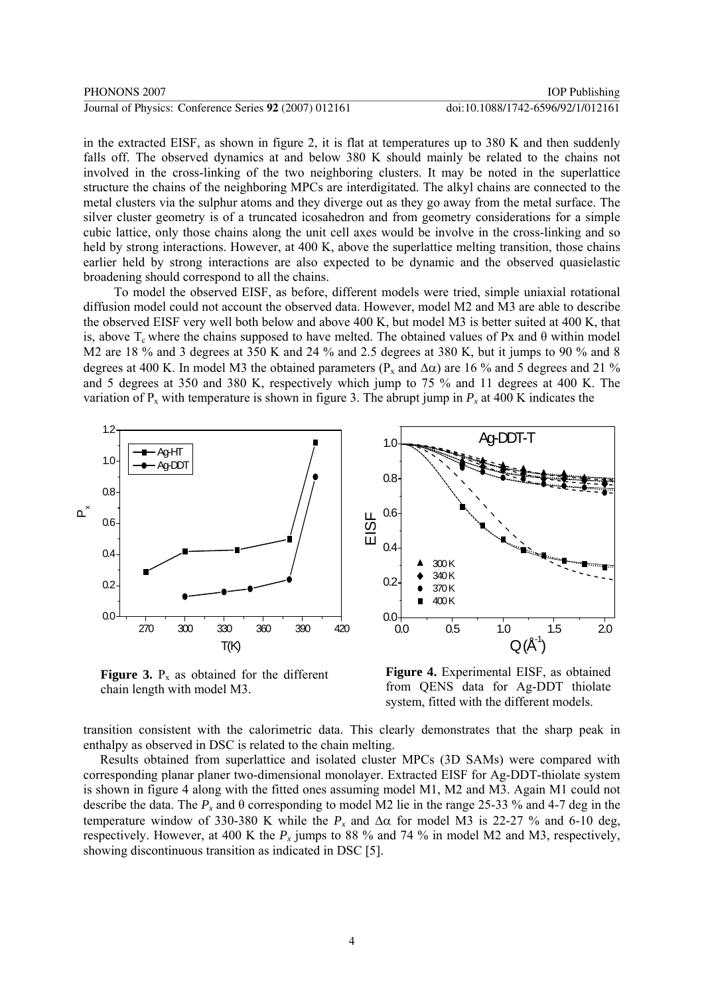in the extracted EISF, as shown in figure 2, it is flat at temperatures up to 380 K and then suddenly falls off. The observed dynamics at and below 380 K should mainly be related to the chains not involved in the cross-linking of the two neighboring clusters. It may be noted in the superlattice structure the chains of the neighboring MPCs are interdigitated. The alkyl chains are connected to the metal clusters via the sulphur atoms and they diverge out as they go away from the metal surface. The silver cluster geometry is of a truncated icosahedron and from geometry considerations for a simple cubic lattice, only those chains along the unit cell axes would be involve in the cross-linking and so held by strong interactions. However, at 400 K, above the superlattice melting transition, those chains earlier held by strong interactions are also expected to be dynamic and the observed quasielastic broadening should correspond to all the chains.

To model the observed EISF, as before, different models were tried, simple uniaxial rotational diffusion model could not account the observed data. However, model M2 and M3 are able to describe the observed EISF very well both below and above 400 K, but model M3 is better suited at 400 K, that is, above  $T_c$  where the chains supposed to have melted. The obtained values of Px and  $\theta$  within model M2 are 18 % and 3 degrees at 350 K and 24 % and 2.5 degrees at 380 K, but it jumps to 90 % and 8 degrees at 400 K. In model M3 the obtained parameters ( $P_x$  and  $\Delta \alpha$ ) are 16 % and 5 degrees and 21 % and 5 degrees at 350 and 380 K, respectively which jump to 75 % and 11 degrees at 400 K. The variation of  $P_x$  with temperature is shown in figure 3. The abrupt jump in  $P_x$  at 400 K indicates the



**Figure 3.**  $P_x$  as obtained for the different chain length with model M3.

**Figure 4.** Experimental EISF, as obtained from QENS data for Ag-DDT thiolate system, fitted with the different models.

transition consistent with the calorimetric data. This clearly demonstrates that the sharp peak in enthalpy as observed in DSC is related to the chain melting.

Results obtained from superlattice and isolated cluster MPCs (3D SAMs) were compared with corresponding planar planer two-dimensional monolayer. Extracted EISF for Ag-DDT-thiolate system is shown in figure 4 along with the fitted ones assuming model M1, M2 and M3. Again M1 could not describe the data. The *Px* and θ corresponding to model M2 lie in the range 25-33 % and 4-7 deg in the temperature window of 330-380 K while the  $P_x$  and  $Δα$  for model M3 is 22-27 % and 6-10 deg, respectively. However, at 400 K the  $P_x$  jumps to 88 % and 74 % in model M2 and M3, respectively, showing discontinuous transition as indicated in DSC [5].